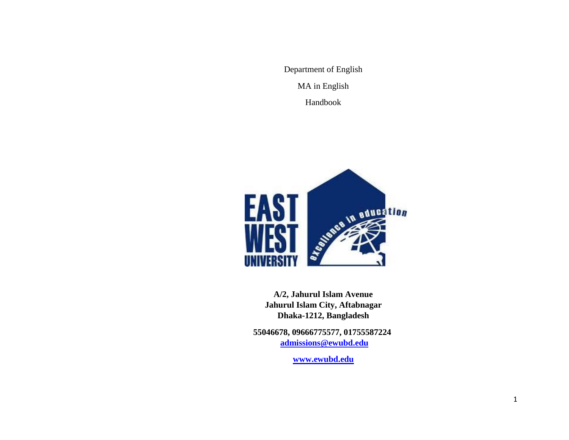Department of English MA in English Handbook



**A/2, Jahurul Islam Avenue Jahurul Islam City, Aftabnagar Dhaka-1212, Bangladesh**

**55046678, 09666775577, 01755587224 [admissions@ewubd.edu](mailto:admissions@ewubd.edu)**

**[www.ewubd.edu](http://www.ewubd.edu/)**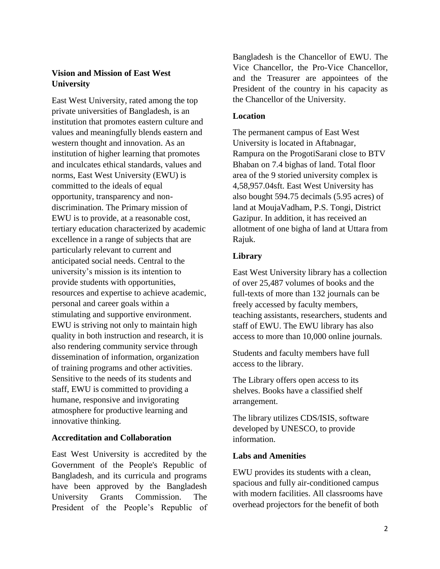## **Vision and Mission of East West University**

East West University, rated among the top private universities of Bangladesh, is an institution that promotes eastern culture and values and meaningfully blends eastern and western thought and innovation. As an institution of higher learning that promotes and inculcates ethical standards, values and norms, East West University (EWU) is committed to the ideals of equal opportunity, transparency and nondiscrimination. The Primary mission of EWU is to provide, at a reasonable cost, tertiary education characterized by academic excellence in a range of subjects that are particularly relevant to current and anticipated social needs. Central to the university's mission is its intention to provide students with opportunities, resources and expertise to achieve academic, personal and career goals within a stimulating and supportive environment. EWU is striving not only to maintain high quality in both instruction and research, it is also rendering community service through dissemination of information, organization of training programs and other activities. Sensitive to the needs of its students and staff, EWU is committed to providing a humane, responsive and invigorating atmosphere for productive learning and innovative thinking.

## **Accreditation and Collaboration**

East West University is accredited by the Government of the People's Republic of Bangladesh, and its curricula and programs have been approved by the Bangladesh University Grants Commission. The President of the People's Republic of Bangladesh is the Chancellor of EWU. The Vice Chancellor, the Pro-Vice Chancellor, and the Treasurer are appointees of the President of the country in his capacity as the Chancellor of the University.

## **Location**

The permanent campus of East West University is located in Aftabnagar, Rampura on the ProgotiSarani close to BTV Bhaban on 7.4 bighas of land. Total floor area of the 9 storied university complex is 4,58,957.04sft. East West University has also bought 594.75 decimals (5.95 acres) of land at MoujaVadham, P.S. Tongi, District Gazipur. In addition, it has received an allotment of one bigha of land at Uttara from Rajuk.

## **Library**

East West University library has a collection of over 25,487 volumes of books and the full-texts of more than 132 journals can be freely accessed by faculty members, teaching assistants, researchers, students and staff of EWU. The EWU library has also access to more than 10,000 online journals.

Students and faculty members have full access to the library.

The Library offers open access to its shelves. Books have a classified shelf arrangement.

The library utilizes CDS/ISIS, software developed by UNESCO, to provide information.

## **Labs and Amenities**

EWU provides its students with a clean, spacious and fully air-conditioned campus with modern facilities. All classrooms have overhead projectors for the benefit of both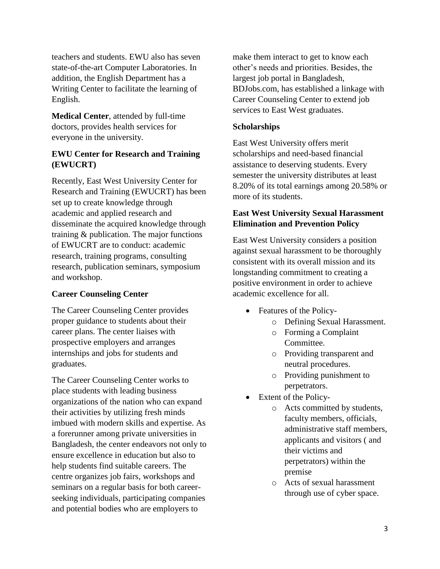teachers and students. EWU also has seven state-of-the-art Computer Laboratories. In addition, the English Department has a Writing Center to facilitate the learning of English.

**Medical Center**, attended by full-time doctors, provides health services for everyone in the university.

## **EWU Center for Research and Training (EWUCRT)**

Recently, East West University Center for Research and Training (EWUCRT) has been set up to create knowledge through academic and applied research and disseminate the acquired knowledge through training & publication. The major functions of EWUCRT are to conduct: academic research, training programs, consulting research, publication seminars, symposium and workshop.

## **Career Counseling Center**

The Career Counseling Center provides proper guidance to students about their career plans. The center liaises with prospective employers and arranges internships and jobs for students and graduates.

The Career Counseling Center works to place students with leading business organizations of the nation who can expand their activities by utilizing fresh minds imbued with modern skills and expertise. As a forerunner among private universities in Bangladesh, the center endeavors not only to ensure excellence in education but also to help students find suitable careers. The centre organizes job fairs, workshops and seminars on a regular basis for both careerseeking individuals, participating companies and potential bodies who are employers to

make them interact to get to know each other's needs and priorities. Besides, the largest job portal in Bangladesh, BDJobs.com, has established a linkage with Career Counseling Center to extend job services to East West graduates.

## **Scholarships**

East West University offers merit scholarships and need-based financial assistance to deserving students. Every semester the university distributes at least 8.20% of its total earnings among 20.58% or more of its students.

## **East West University Sexual Harassment Elimination and Prevention Policy**

East West University considers a position against sexual harassment to be thoroughly consistent with its overall mission and its longstanding commitment to creating a positive environment in order to achieve academic excellence for all.

- Features of the Policy
	- o Defining Sexual Harassment.
	- o Forming a Complaint Committee.
	- o Providing transparent and neutral procedures.
	- o Providing punishment to perpetrators.
- Extent of the Policy
	- o Acts committed by students, faculty members, officials, administrative staff members, applicants and visitors ( and their victims and perpetrators) within the premise
	- o Acts of sexual harassment through use of cyber space.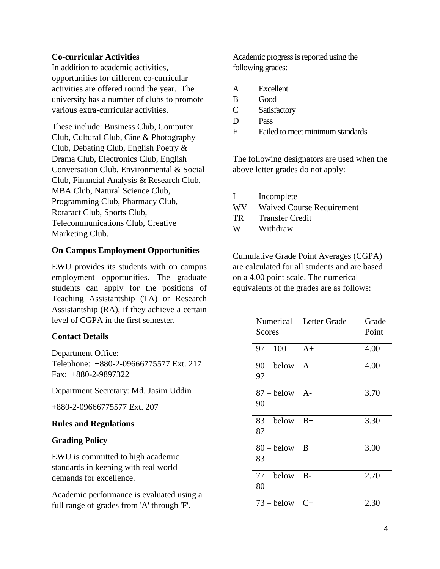### **Co-curricular Activities**

In addition to academic activities, opportunities for different co-curricular activities are offered round the year. The university has a number of clubs to promote various extra-curricular activities.

These include: Business Club, Computer Club, Cultural Club, Cine & Photography Club, Debating Club, English Poetry & Drama Club, Electronics Club, English Conversation Club, Environmental & Social Club, Financial Analysis & Research Club, MBA Club, Natural Science Club, Programming Club, Pharmacy Club, Rotaract Club, Sports Club, Telecommunications Club, Creative Marketing Club.

### **On Campus Employment Opportunities**

EWU provides its students with on campus employment opportunities. The graduate students can apply for the positions of Teaching Assistantship (TA) or Research Assistantship (RA), if they achieve a certain level of CGPA in the first semester.

## **Contact Details**

Department Office: Telephone: +880-2-09666775577 Ext. 217 Fax: +880-2-9897322

Department Secretary: Md. Jasim Uddin

+880-2-09666775577 Ext. 207

#### **Rules and Regulations**

## **Grading Policy**

EWU is committed to high academic standards in keeping with real world demands for excellence.

Academic performance is evaluated using a full range of grades from 'A' through 'F'.

Academic progress is reported using the following grades:

- A Excellent
- B Good
- C Satisfactory
- D Pass
- F Failed to meet minimum standards.

The following designators are used when the above letter grades do not apply:

I Incomplete WV Waived Course Requirement TR Transfer Credit W Withdraw

Cumulative Grade Point Averages (CGPA) are calculated for all students and are based on a 4.00 point scale. The numerical equivalents of the grades are as follows:

| Numerical<br>Scores | Letter Grade | Grade<br>Point |
|---------------------|--------------|----------------|
| $97 - 100$          | $A+$         | 4.00           |
| $90 -$ below<br>97  | A            | 4.00           |
| $87 -$ below<br>90  | $A -$        | 3.70           |
| $83 -$ below<br>87  | $B+$         | 3.30           |
| $80 -$ below<br>83  | B            | 3.00           |
| $77 -$ below<br>80  | $B-$         | 2.70           |
| $73 -$ below        | $C+$         | 2.30           |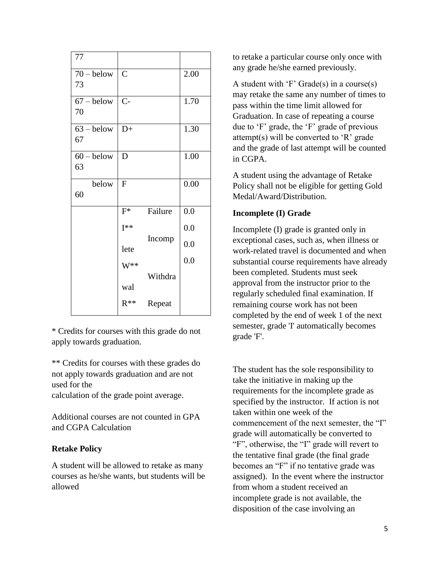| $\overline{77}$    |                |         |      |
|--------------------|----------------|---------|------|
| $70 -$ below<br>73 | $\overline{C}$ |         | 2.00 |
| $67 -$ below<br>70 | $C-$           |         | 1.70 |
| $63 -$ below<br>67 | $D+$           |         | 1.30 |
| $60 -$ below<br>63 | D              |         | 1.00 |
| below<br>60        | $\overline{F}$ |         | 0.00 |
|                    | $F^*$          | Failure | 0.0  |
|                    | $I^{**}$       |         | 0.0  |
|                    | lete           | Incomp  | 0.0  |
|                    | $W^{**}$       |         | 0.0  |
|                    | wal            | Withdra |      |
|                    | $R^{**}$       | Repeat  |      |

\* Credits for courses with this grade do not apply towards graduation.

\*\* Credits for courses with these grades do not apply towards graduation and are not used for the calculation of the grade point average.

Additional courses are not counted in GPA and CGPA Calculation

## **Retake Policy**

A student will be allowed to retake as many courses as he/she wants, but students will be allowed

to retake a particular course only once with any grade he/she earned previously.

A student with  $F'$  Grade(s) in a course(s) may retake the same any number of times to pass within the time limit allowed for Graduation. In case of repeating a course due to 'F' grade, the 'F' grade of previous attempt(s) will be converted to ' $R$ ' grade and the grade of last attempt will be counted in CGPA.

A student using the advantage of Retake Policy shall not be eligible for getting Gold Medal/Award/Distribution.

### **Incomplete (I) Grade**

Incomplete (I) grade is granted only in exceptional cases, such as, when illness or work-related travel is documented and when substantial course requirements have already been completed. Students must seek approval from the instructor prior to the regularly scheduled final examination. If remaining course work has not been completed by the end of week 1 of the next semester, grade 'I' automatically becomes grade 'F'.

The student has the sole responsibility to take the initiative in making up the requirements for the incomplete grade as specified by the instructor. If action is not taken within one week of the commencement of the next semester, the "I" grade will automatically be converted to "F", otherwise, the "I" grade will revert to the tentative final grade (the final grade becomes an "F" if no tentative grade was assigned). In the event where the instructor from whom a student received an incomplete grade is not available, the disposition of the case involving an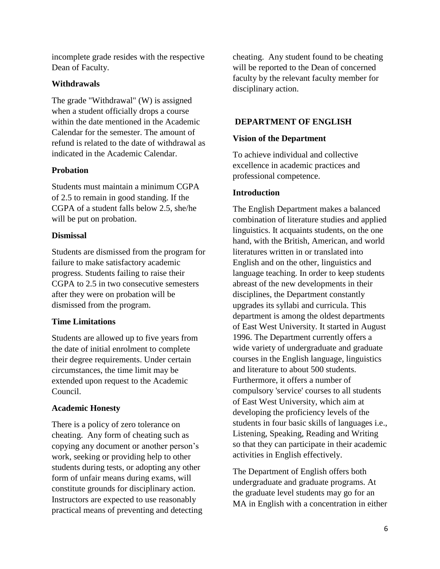incomplete grade resides with the respective Dean of Faculty.

### **Withdrawals**

The grade "Withdrawal" (W) is assigned when a student officially drops a course within the date mentioned in the Academic Calendar for the semester. The amount of refund is related to the date of withdrawal as indicated in the Academic Calendar.

#### **Probation**

Students must maintain a minimum CGPA of 2.5 to remain in good standing. If the CGPA of a student falls below 2.5, she/he will be put on probation.

#### **Dismissal**

Students are dismissed from the program for failure to make satisfactory academic progress. Students failing to raise their CGPA to 2.5 in two consecutive semesters after they were on probation will be dismissed from the program.

#### **Time Limitations**

Students are allowed up to five years from the date of initial enrolment to complete their degree requirements. Under certain circumstances, the time limit may be extended upon request to the Academic Council.

#### **Academic Honesty**

There is a policy of zero tolerance on cheating. Any form of cheating such as copying any document or another person's work, seeking or providing help to other students during tests, or adopting any other form of unfair means during exams, will constitute grounds for disciplinary action. Instructors are expected to use reasonably practical means of preventing and detecting cheating. Any student found to be cheating will be reported to the Dean of concerned faculty by the relevant faculty member for disciplinary action.

#### **DEPARTMENT OF ENGLISH**

#### **Vision of the Department**

To achieve individual and collective excellence in academic practices and professional competence.

#### **Introduction**

The English Department makes a balanced combination of literature studies and applied linguistics. It acquaints students, on the one hand, with the British, American, and world literatures written in or translated into English and on the other, linguistics and language teaching. In order to keep students abreast of the new developments in their disciplines, the Department constantly upgrades its syllabi and curricula. This department is among the oldest departments of East West University. It started in August 1996. The Department currently offers a wide variety of undergraduate and graduate courses in the English language, linguistics and literature to about 500 students. Furthermore, it offers a number of compulsory 'service' courses to all students of East West University, which aim at developing the proficiency levels of the students in four basic skills of languages i.e., Listening, Speaking, Reading and Writing so that they can participate in their academic activities in English effectively.

The Department of English offers both undergraduate and graduate programs. At the graduate level students may go for an MA in English with a concentration in either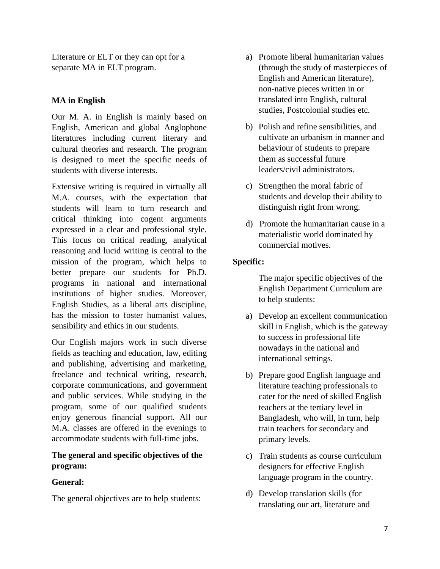Literature or ELT or they can opt for a separate MA in ELT program.

## **MA in English**

Our M. A. in English is mainly based on English, American and global Anglophone literatures including current literary and cultural theories and research. The program is designed to meet the specific needs of students with diverse interests.

Extensive writing is required in virtually all M.A. courses, with the expectation that students will learn to turn research and critical thinking into cogent arguments expressed in a clear and professional style. This focus on critical reading, analytical reasoning and lucid writing is central to the mission of the program, which helps to better prepare our students for Ph.D. programs in national and international institutions of higher studies. Moreover, English Studies, as a liberal arts discipline, has the mission to foster humanist values, sensibility and ethics in our students.

Our English majors work in such diverse fields as teaching and education, law, editing and publishing, advertising and marketing, freelance and technical writing, research, corporate communications, and government and public services. While studying in the program, some of our qualified students enjoy generous financial support. All our M.A. classes are offered in the evenings to accommodate students with full-time jobs.

## **The general and specific objectives of the program:**

## **General:**

The general objectives are to help students:

- a) Promote liberal humanitarian values (through the study of masterpieces of English and American literature), non-native pieces written in or translated into English, cultural studies, Postcolonial studies etc.
- b) Polish and refine sensibilities, and cultivate an urbanism in manner and behaviour of students to prepare them as successful future leaders/civil administrators.
- c) Strengthen the moral fabric of students and develop their ability to distinguish right from wrong.
- d) Promote the humanitarian cause in a materialistic world dominated by commercial motives.

## **Specific:**

The major specific objectives of the English Department Curriculum are to help students:

- a) Develop an excellent communication skill in English, which is the gateway to success in professional life nowadays in the national and international settings.
- b) Prepare good English language and literature teaching professionals to cater for the need of skilled English teachers at the tertiary level in Bangladesh, who will, in turn, help train teachers for secondary and primary levels.
- c) Train students as course curriculum designers for effective English language program in the country.
- d) Develop translation skills (for translating our art, literature and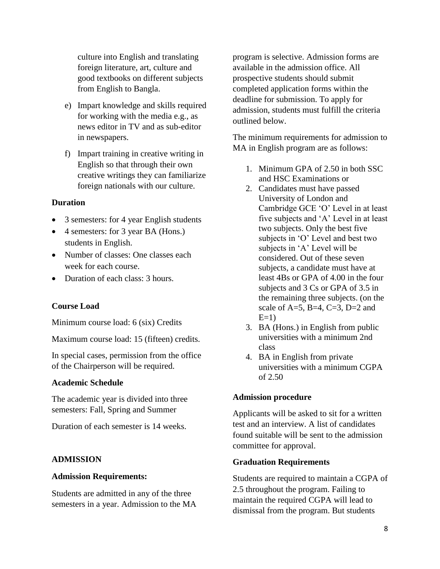culture into English and translating foreign literature, art, culture and good textbooks on different subjects from English to Bangla.

- e) Impart knowledge and skills required for working with the media e.g., as news editor in TV and as sub-editor in newspapers.
- f) Impart training in creative writing in English so that through their own creative writings they can familiarize foreign nationals with our culture.

#### **Duration**

- 3 semesters: for 4 year English students
- 4 semesters: for 3 year BA (Hons.) students in English.
- Number of classes: One classes each week for each course.
- Duration of each class: 3 hours.

## **Course Load**

Minimum course load: 6 (six) Credits

Maximum course load: 15 (fifteen) credits.

In special cases, permission from the office of the Chairperson will be required.

#### **Academic Schedule**

The academic year is divided into three semesters: Fall, Spring and Summer

Duration of each semester is 14 weeks.

#### **ADMISSION**

#### **Admission Requirements:**

Students are admitted in any of the three semesters in a year. Admission to the MA program is selective. Admission forms are available in the admission office. All prospective students should submit completed application forms within the deadline for submission. To apply for admission, students must fulfill the criteria outlined below.

The minimum requirements for admission to MA in English program are as follows:

- 1. Minimum GPA of 2.50 in both SSC and HSC Examinations or
- 2. Candidates must have passed University of London and Cambridge GCE 'O' Level in at least five subjects and 'A' Level in at least two subjects. Only the best five subjects in 'O' Level and best two subjects in 'A' Level will be considered. Out of these seven subjects, a candidate must have at least 4Bs or GPA of 4.00 in the four subjects and 3 Cs or GPA of 3.5 in the remaining three subjects. (on the scale of  $A=5$ ,  $B=4$ ,  $C=3$ ,  $D=2$  and  $E=1$ )
- 3. BA (Hons.) in English from public universities with a minimum 2nd class
- 4. BA in English from private universities with a minimum CGPA of 2.50

#### **Admission procedure**

Applicants will be asked to sit for a written test and an interview. A list of candidates found suitable will be sent to the admission committee for approval.

## **Graduation Requirements**

Students are required to maintain a CGPA of 2.5 throughout the program. Failing to maintain the required CGPA will lead to dismissal from the program. But students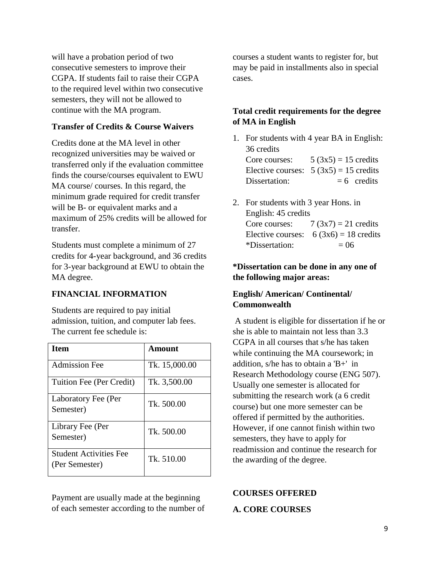will have a probation period of two consecutive semesters to improve their CGPA. If students fail to raise their CGPA to the required level within two consecutive semesters, they will not be allowed to continue with the MA program.

#### **Transfer of Credits & Course Waivers**

Credits done at the MA level in other recognized universities may be waived or transferred only if the evaluation committee finds the course/courses equivalent to EWU MA course/ courses. In this regard, the minimum grade required for credit transfer will be B- or equivalent marks and a maximum of 25% credits will be allowed for transfer.

Students must complete a minimum of 27 credits for 4-year background, and 36 credits for 3-year background at EWU to obtain the MA degree.

#### **FINANCIAL INFORMATION**

Students are required to pay initial admission, tuition, and computer lab fees. The current fee schedule is:

| <b>Item</b>                                     | Amount        |
|-------------------------------------------------|---------------|
| <b>Admission Fee</b>                            | Tk. 15,000.00 |
| Tuition Fee (Per Credit)                        | Tk. 3,500.00  |
| Laboratory Fee (Per<br>Semester)                | Tk. 500.00    |
| Library Fee (Per<br>Semester)                   | Tk. 500.00    |
| <b>Student Activities Fee</b><br>(Per Semester) | Tk. 510.00    |

Payment are usually made at the beginning of each semester according to the number of courses a student wants to register for, but may be paid in installments also in special cases.

### **Total credit requirements for the degree of MA in English**

- 1. For students with 4 year BA in English: 36 credits Core courses:  $5 (3x5) = 15$  credits Elective courses:  $5 (3x5) = 15$  credits Dissertation:  $= 6$  credits
- 2. For students with 3 year Hons. in English: 45 credits Core courses:  $7 (3x7) = 21$  credits Elective courses:  $6 (3x6) = 18$  credits  $*$ Dissertation:  $= 06$

## **\*Dissertation can be done in any one of the following major areas:**

### **English/ American/ Continental/ Commonwealth**

A student is eligible for dissertation if he or she is able to maintain not less than 3.3 CGPA in all courses that s/he has taken while continuing the MA coursework; in addition, s/he has to obtain a 'B+' in Research Methodology course (ENG 507). Usually one semester is allocated for submitting the research work (a 6 credit course) but one more semester can be offered if permitted by the authorities. However, if one cannot finish within two semesters, they have to apply for readmission and continue the research for the awarding of the degree.

#### **COURSES OFFERED**

#### **A. CORE COURSES**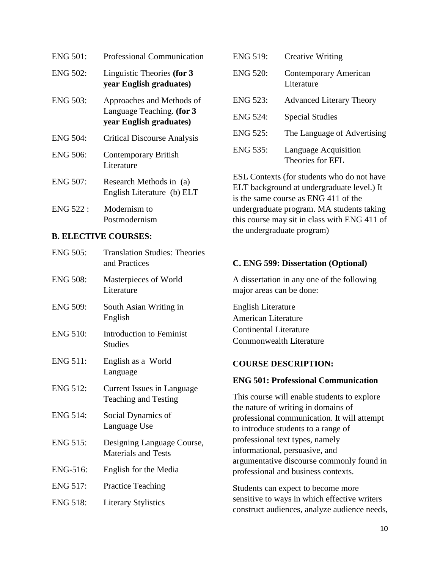| ENG 501: | <b>Professional Communication</b> |
|----------|-----------------------------------|
|          |                                   |

- ENG 502: Linguistic Theories **(for 3 year English graduates)**
- ENG 503: Approaches and Methods of Language Teaching. **(for 3 year English graduates)**
- ENG 504: Critical Discourse Analysis
- ENG 506: Contemporary British Literature
- ENG 507: Research Methods in (a) English Literature (b) ELT
- ENG 522 : Modernism to Postmodernism

### **B. ELECTIVE COURSES:**

| <b>ENG 505:</b> | <b>Translation Studies: Theories</b><br>and Practices     |
|-----------------|-----------------------------------------------------------|
| <b>ENG 508:</b> | Masterpieces of World<br>Literature                       |
| <b>ENG 509:</b> | South Asian Writing in<br>English                         |
| <b>ENG 510:</b> | Introduction to Feminist<br><b>Studies</b>                |
| <b>ENG 511:</b> | English as a World<br>Language                            |
| <b>ENG 512:</b> | Current Issues in Language<br><b>Teaching and Testing</b> |
| <b>ENG 514:</b> | Social Dynamics of<br>Language Use                        |
| <b>ENG 515:</b> | Designing Language Course,<br><b>Materials and Tests</b>  |
| ENG-516:        | English for the Media                                     |
| <b>ENG 517:</b> | <b>Practice Teaching</b>                                  |
| <b>ENG 518:</b> | <b>Literary Stylistics</b>                                |

| <b>ENG 519:</b> | <b>Creative Writing</b>                    |
|-----------------|--------------------------------------------|
| ENG 520:        | <b>Contemporary American</b><br>Literature |
| <b>ENG 523:</b> | <b>Advanced Literary Theory</b>            |
| <b>ENG 524:</b> | <b>Special Studies</b>                     |
| <b>ENG 525:</b> | The Language of Advertising                |
| ENG 535:        | Language Acquisition<br>Theories for EFL   |

ESL Contexts (for students who do not have ELT background at undergraduate level.) It is the same course as ENG 411 of the undergraduate program. MA students taking this course may sit in class with ENG 411 of the undergraduate program)

#### **C. ENG 599: Dissertation (Optional)**

A dissertation in any one of the following major areas can be done:

English Literature American Literature Continental Literature Commonwealth Literature

### **COURSE DESCRIPTION:**

#### **ENG 501: Professional Communication**

This course will enable students to explore the nature of writing in domains of professional communication. It will attempt to introduce students to a range of professional text types, namely informational, persuasive, and argumentative discourse commonly found in professional and business contexts.

Students can expect to become more sensitive to ways in which effective writers construct audiences, analyze audience needs,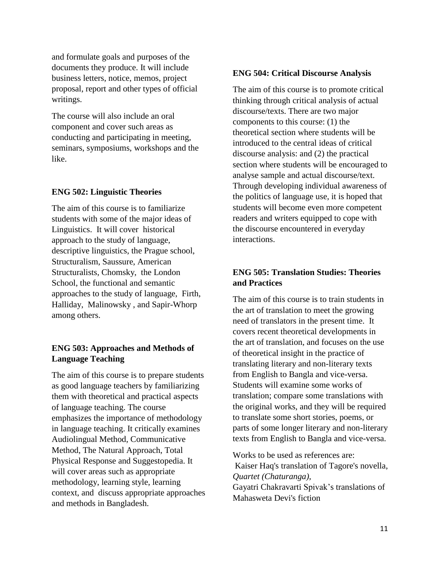and formulate goals and purposes of the documents they produce. It will include business letters, notice, memos, project proposal, report and other types of official writings.

The course will also include an oral component and cover such areas as conducting and participating in meeting, seminars, symposiums, workshops and the like.

#### **ENG 502: Linguistic Theories**

The aim of this course is to familiarize students with some of the major ideas of Linguistics. It will cover historical approach to the study of language, descriptive linguistics, the Prague school, Structuralism, Saussure, American Structuralists, Chomsky, the London School, the functional and semantic approaches to the study of language, Firth, Halliday, Malinowsky , and Sapir-Whorp among others.

## **ENG 503: Approaches and Methods of Language Teaching**

The aim of this course is to prepare students as good language teachers by familiarizing them with theoretical and practical aspects of language teaching. The course emphasizes the importance of methodology in language teaching. It critically examines Audiolingual Method, Communicative Method, The Natural Approach, Total Physical Response and Suggestopedia. It will cover areas such as appropriate methodology, learning style, learning context, and discuss appropriate approaches and methods in Bangladesh.

### **ENG 504: Critical Discourse Analysis**

The aim of this course is to promote critical thinking through critical analysis of actual discourse/texts. There are two major components to this course: (1) the theoretical section where students will be introduced to the central ideas of critical discourse analysis: and (2) the practical section where students will be encouraged to analyse sample and actual discourse/text. Through developing individual awareness of the politics of language use, it is hoped that students will become even more competent readers and writers equipped to cope with the discourse encountered in everyday interactions.

## **ENG 505: Translation Studies: Theories and Practices**

The aim of this course is to train students in the art of translation to meet the growing need of translators in the present time. It covers recent theoretical developments in the art of translation, and focuses on the use of theoretical insight in the practice of translating literary and non-literary texts from English to Bangla and vice-versa. Students will examine some works of translation; compare some translations with the original works, and they will be required to translate some short stories, poems, or parts of some longer literary and non-literary texts from English to Bangla and vice-versa.

Works to be used as references are: Kaiser Haq's translation of Tagore's novella, *Quartet (Chaturanga),* Gayatri Chakravarti Spivak's translations of Mahasweta Devi's fiction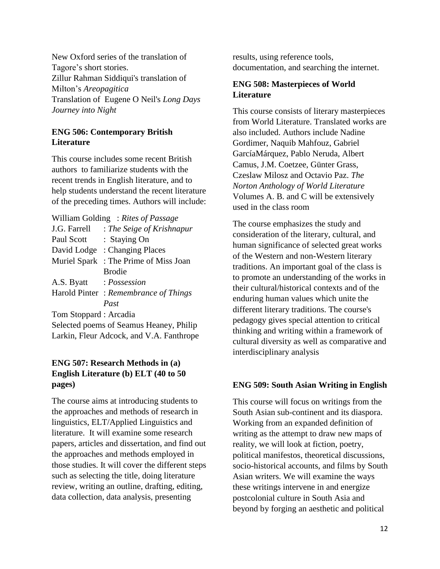New Oxford series of the translation of Tagore's short stories. Zillur Rahman Siddiqui's translation of Milton's *Areopagitica* Translation of Eugene O Neil's *Long Days Journey into Night*

## **ENG 506: Contemporary British Literature**

This course includes some recent British authors to familiarize students with the recent trends in English literature, and to help students understand the recent literature of the preceding times. Authors will include:

|  | William Golding: Rites of Passage |
|--|-----------------------------------|
|--|-----------------------------------|

| J.G. Farrell                   | : The Seige of Krishnapur                |
|--------------------------------|------------------------------------------|
| Paul Scott                     | : Staying On                             |
| David Lodge                    | : Changing Places                        |
| <b>Muriel Spark</b>            | : The Prime of Miss Joan                 |
|                                | <b>Brodie</b>                            |
| A.S. Byatt : <i>Possession</i> |                                          |
|                                | Harold Pinter: Remembrance of Things     |
|                                | Past                                     |
| Tom Stoppard : Arcadia         |                                          |
|                                | Selected poems of Seamus Heaney, Philip  |
|                                | Larkin, Fleur Adcock, and V.A. Fanthrope |

## **ENG 507: Research Methods in (a) English Literature (b) ELT (40 to 50 pages)**

The course aims at introducing students to the approaches and methods of research in linguistics, ELT/Applied Linguistics and literature. It will examine some research papers, articles and dissertation, and find out the approaches and methods employed in those studies. It will cover the different steps such as selecting the title, doing literature review, writing an outline, drafting, editing, data collection, data analysis, presenting

results, using reference tools, documentation, and searching the internet.

## **ENG 508: Masterpieces of World Literature**

This course consists of literary masterpieces from World Literature. Translated works are also included. Authors include Nadine Gordimer, Naquib Mahfouz, Gabriel GarcíaMárquez, Pablo Neruda, Albert Camus, J.M. Coetzee, Günter Grass, Czeslaw Milosz and Octavio Paz. *The Norton Anthology of World Literature* Volumes A. B. and C will be extensively used in the class room

The course emphasizes the study and consideration of the literary, cultural, and human significance of selected great works of the Western and non-Western literary traditions. An important goal of the class is to promote an understanding of the works in their cultural/historical contexts and of the enduring human values which unite the different literary traditions. The course's pedagogy gives special attention to critical thinking and writing within a framework of cultural diversity as well as comparative and interdisciplinary analysis

## **ENG 509: South Asian Writing in English**

This course will focus on writings from the South Asian sub-continent and its diaspora. Working from an expanded definition of writing as the attempt to draw new maps of reality, we will look at fiction, poetry, political manifestos, theoretical discussions, socio-historical accounts, and films by South Asian writers. We will examine the ways these writings intervene in and energize postcolonial culture in South Asia and beyond by forging an aesthetic and political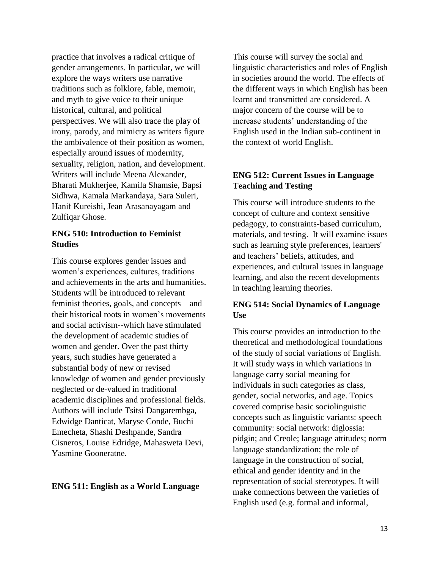practice that involves a radical critique of gender arrangements. In particular, we will explore the ways writers use narrative traditions such as folklore, fable, memoir, and myth to give voice to their unique historical, cultural, and political perspectives. We will also trace the play of irony, parody, and mimicry as writers figure the ambivalence of their position as women, especially around issues of modernity, sexuality, religion, nation, and development. Writers will include Meena Alexander, Bharati Mukherjee, Kamila Shamsie, Bapsi Sidhwa, Kamala Markandaya, Sara Suleri, Hanif Kureishi, Jean Arasanayagam and Zulfiqar Ghose.

## **ENG 510: Introduction to Feminist Studies**

This course explores gender issues and women's experiences, cultures, traditions and achievements in the arts and humanities. Students will be introduced to relevant feminist theories, goals, and concepts—and their historical roots in women's movements and social activism--which have stimulated the development of academic studies of women and gender. Over the past thirty years, such studies have generated a substantial body of new or revised knowledge of women and gender previously neglected or de-valued in traditional academic disciplines and professional fields. Authors will include Tsitsi Dangarembga, Edwidge Danticat, Maryse Conde, Buchi Emecheta, Shashi Deshpande, Sandra Cisneros, Louise Edridge, Mahasweta Devi, Yasmine Gooneratne.

## **ENG 511: English as a World Language**

This course will survey the social and linguistic characteristics and roles of English in societies around the world. The effects of the different ways in which English has been learnt and transmitted are considered. A major concern of the course will be to increase students' understanding of the English used in the Indian sub-continent in the context of world English.

## **ENG 512: Current Issues in Language Teaching and Testing**

This course will introduce students to the concept of culture and context sensitive pedagogy, to constraints-based curriculum, materials, and testing. It will examine issues such as learning style preferences, learners' and teachers' beliefs, attitudes, and experiences, and cultural issues in language learning, and also the recent developments in teaching learning theories.

## **ENG 514: Social Dynamics of Language Use**

This course provides an introduction to the theoretical and methodological foundations of the study of social variations of English. It will study ways in which variations in language carry social meaning for individuals in such categories as class, gender, social networks, and age. Topics covered comprise basic sociolinguistic concepts such as linguistic variants: speech community: social network: diglossia: pidgin; and Creole; language attitudes; norm language standardization; the role of language in the construction of social, ethical and gender identity and in the representation of social stereotypes. It will make connections between the varieties of English used (e.g. formal and informal,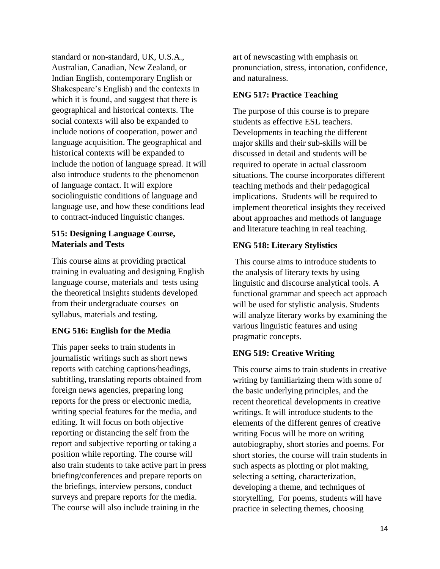standard or non-standard, UK, U.S.A., Australian, Canadian, New Zealand, or Indian English, contemporary English or Shakespeare's English) and the contexts in which it is found, and suggest that there is geographical and historical contexts. The social contexts will also be expanded to include notions of cooperation, power and language acquisition. The geographical and historical contexts will be expanded to include the notion of language spread. It will also introduce students to the phenomenon of language contact. It will explore sociolinguistic conditions of language and language use, and how these conditions lead to contract-induced linguistic changes.

## **515: Designing Language Course, Materials and Tests**

This course aims at providing practical training in evaluating and designing English language course, materials and tests using the theoretical insights students developed from their undergraduate courses on syllabus, materials and testing.

## **ENG 516: English for the Media**

This paper seeks to train students in journalistic writings such as short news reports with catching captions/headings, subtitling, translating reports obtained from foreign news agencies, preparing long reports for the press or electronic media, writing special features for the media, and editing. It will focus on both objective reporting or distancing the self from the report and subjective reporting or taking a position while reporting. The course will also train students to take active part in press briefing/conferences and prepare reports on the briefings, interview persons, conduct surveys and prepare reports for the media. The course will also include training in the

art of newscasting with emphasis on pronunciation, stress, intonation, confidence, and naturalness.

## **ENG 517: Practice Teaching**

The purpose of this course is to prepare students as effective ESL teachers. Developments in teaching the different major skills and their sub-skills will be discussed in detail and students will be required to operate in actual classroom situations. The course incorporates different teaching methods and their pedagogical implications. Students will be required to implement theoretical insights they received about approaches and methods of language and literature teaching in real teaching.

## **ENG 518: Literary Stylistics**

This course aims to introduce students to the analysis of literary texts by using linguistic and discourse analytical tools. A functional grammar and speech act approach will be used for stylistic analysis. Students will analyze literary works by examining the various linguistic features and using pragmatic concepts.

## **ENG 519: Creative Writing**

This course aims to train students in creative writing by familiarizing them with some of the basic underlying principles, and the recent theoretical developments in creative writings. It will introduce students to the elements of the different genres of creative writing Focus will be more on writing autobiography, short stories and poems. For short stories, the course will train students in such aspects as plotting or plot making, selecting a setting, characterization, developing a theme, and techniques of storytelling, For poems, students will have practice in selecting themes, choosing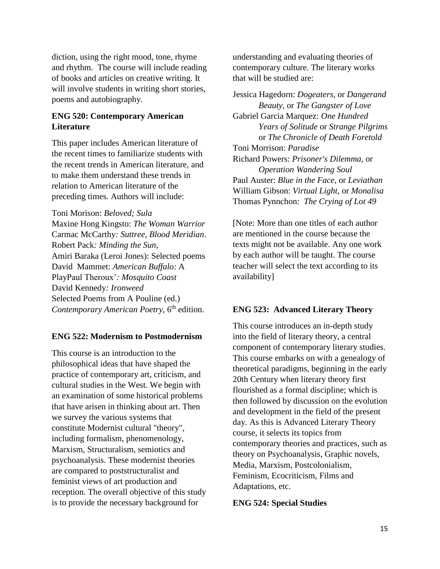diction, using the right mood, tone, rhyme and rhythm. The course will include reading of books and articles on creative writing. It will involve students in writing short stories, poems and autobiography.

## **ENG 520: Contemporary American Literature**

This paper includes American literature of the recent times to familiarize students with the recent trends in American literature, and to make them understand these trends in relation to American literature of the preceding times. Authors will include:

Toni Morison: *Beloved; Sula* Maxine Hong Kingsto: *The Woman Warrior* Carmac McCarthy*: Suttree, Blood Meridian*. Robert Pack*: Minding the Sun,*  Amiri Baraka (Leroi Jones): Selected poems David Mammet: *American Buffalo*: A PlayPaul Theroux'*: Mosquito Coast* David Kennedy*: Ironweed* Selected Poems from A Pouline (ed.) *Contemporary American Poetry*, 6<sup>th</sup> edition.

#### **ENG 522: Modernism to Postmodernism**

This course is an introduction to the philosophical ideas that have shaped the practice of contemporary art, criticism, and cultural studies in the West. We begin with an examination of some historical problems that have arisen in thinking about art. Then we survey the various systems that constitute Modernist cultural "theory", including formalism, phenomenology, Marxism, Structuralism, semiotics and psychoanalysis. These modernist theories are compared to poststructuralist and feminist views of art production and reception. The overall objective of this study is to provide the necessary background for

understanding and evaluating theories of contemporary culture. The literary works that will be studied are:

Jessica Hagedorn: *Dogeaters,* or *Dangerand Beauty,* or *The Gangster of Love* Gabriel Garcia Marquez: *One Hundred Years of Solitude* or *Strange Pilgrims* or *The Chronicle of Death Foretold*  Toni Morrison: *Paradise* Richard Powers: *Prisoner's Dilemma*, or *Operation Wandering Soul* Paul Auster: *Blue in the Face,* or *Leviathan* William Gibson: *Virtual Light*, or *Monalisa* Thomas Pynnchon: *The Crying of Lot 49*

[Note: More than one titles of each author are mentioned in the course because the texts might not be available. Any one work by each author will be taught. The course teacher will select the text according to its availability]

#### **ENG 523: Advanced Literary Theory**

This course introduces an in-depth study into the field of literary theory, a central component of contemporary literary studies. This course embarks on with a genealogy of theoretical paradigms, beginning in the early 20th Century when literary theory first flourished as a formal discipline; which is then followed by discussion on the evolution and development in the field of the present day. As this is Advanced Literary Theory course, it selects its topics from contemporary theories and practices, such as theory on Psychoanalysis, Graphic novels, Media, Marxism, Postcolonialism, Feminism, Ecocriticism, Films and Adaptations, etc.

#### **ENG 524: Special Studies**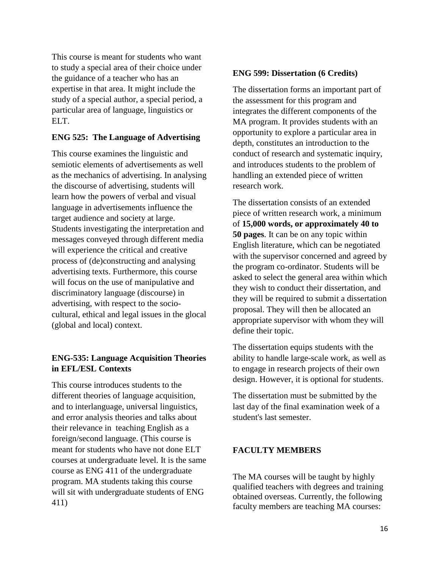This course is meant for students who want to study a special area of their choice under the guidance of a teacher who has an expertise in that area. It might include the study of a special author, a special period, a particular area of language, linguistics or ELT.

#### **ENG 525: The Language of Advertising**

This course examines the linguistic and semiotic elements of advertisements as well as the mechanics of advertising. In analysing the discourse of advertising, students will learn how the powers of verbal and visual language in advertisements influence the target audience and society at large. Students investigating the interpretation and messages conveyed through different media will experience the critical and creative process of (de)constructing and analysing advertising texts. Furthermore, this course will focus on the use of manipulative and discriminatory language (discourse) in advertising, with respect to the sociocultural, ethical and legal issues in the glocal (global and local) context.

## **ENG-535: Language Acquisition Theories in EFL/ESL Contexts**

This course introduces students to the different theories of language acquisition, and to interlanguage, universal linguistics, and error analysis theories and talks about their relevance in teaching English as a foreign/second language. (This course is meant for students who have not done ELT courses at undergraduate level. It is the same course as ENG 411 of the undergraduate program. MA students taking this course will sit with undergraduate students of ENG 411)

#### **ENG 599: Dissertation (6 Credits)**

The dissertation forms an important part of the assessment for this program and integrates the different components of the MA program. It provides students with an opportunity to explore a particular area in depth, constitutes an introduction to the conduct of research and systematic inquiry, and introduces students to the problem of handling an extended piece of written research work.

The dissertation consists of an extended piece of written research work, a minimum of **15,000 words, or approximately 40 to 50 pages**. It can be on any topic within English literature, which can be negotiated with the supervisor concerned and agreed by the program co-ordinator. Students will be asked to select the general area within which they wish to conduct their dissertation, and they will be required to submit a dissertation proposal. They will then be allocated an appropriate supervisor with whom they will define their topic.

The dissertation equips students with the ability to handle large-scale work, as well as to engage in research projects of their own design. However, it is optional for students.

The dissertation must be submitted by the last day of the final examination week of a student's last semester.

#### **FACULTY MEMBERS**

The MA courses will be taught by highly qualified teachers with degrees and training obtained overseas. Currently, the following faculty members are teaching MA courses: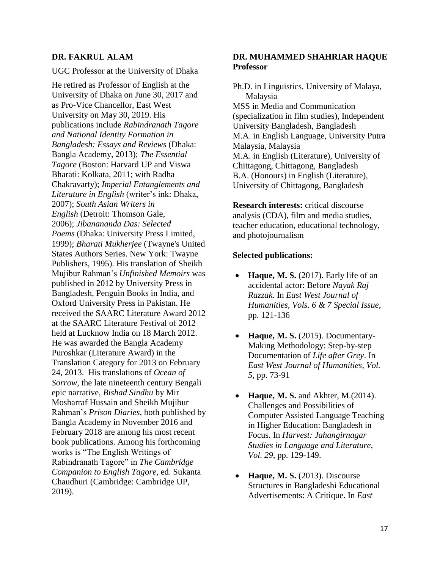#### **DR. FAKRUL ALAM**

UGC Professor at the University of Dhaka

He retired as Professor of English at the University of Dhaka on June 30, 2017 and as Pro-Vice Chancellor, East West University on May 30, 2019. His publications include *Rabindranath Tagore and National Identity Formation in Bangladesh: Essays and Reviews* (Dhaka: Bangla Academy, 2013); *The Essential Tagore* (Boston: Harvard UP and Viswa Bharati: Kolkata, 2011; with Radha Chakravarty); *Imperial Entanglements and Literature in English* (writer's ink: Dhaka, 2007); *South Asian Writers in English* (Detroit: Thomson Gale, 2006); *Jibanananda Das: Selected Poems* (Dhaka: University Press Limited, 1999); *Bharati Mukherjee* (Twayne's United States Authors Series. New York: Twayne Publishers, 1995). His translation of Sheikh Mujibur Rahman's *Unfinished Memoirs* was published in 2012 by University Press in Bangladesh, Penguin Books in India, and Oxford University Press in Pakistan. He received the SAARC Literature Award 2012 at the SAARC Literature Festival of 2012 held at Lucknow India on 18 March 2012. He was awarded the Bangla Academy Puroshkar (Literature Award) in the Translation Category for 2013 on February 24, 2013. His translations of *Ocean of Sorrow,* the late nineteenth century Bengali epic narrative, *Bishad Sindhu* by Mir Mosharraf Hussain and Sheikh Mujibur Rahman's *Prison Diaries*, both published by Bangla Academy in November 2016 and February 2018 are among his most recent book publications. Among his forthcoming works is "The English Writings of Rabindranath Tagore" in *The Cambridge Companion to English Tagore,* ed. Sukanta Chaudhuri (Cambridge: Cambridge UP, 2019).

#### **DR. MUHAMMED SHAHRIAR HAQUE Professor**

Ph.D. in Linguistics, University of Malaya, Malaysia MSS in Media and Communication (specialization in film studies), Independent University Bangladesh, Bangladesh M.A. in English Language, University Putra Malaysia, Malaysia M.A. in English (Literature), University of Chittagong, Chittagong, Bangladesh B.A. (Honours) in English (Literature), University of Chittagong, Bangladesh

**Research interests:** critical discourse analysis (CDA), film and media studies, teacher education, educational technology, and photojournalism

#### **Selected publications:**

- Haque, M. S. (2017). Early life of an accidental actor: Before *Nayak Raj Razzak*. In *East West Journal of Humanities, Vols. 6 & 7 Special Issue*, pp. 121-136
- **Haque, M. S.** (2015). Documentary-Making Methodology: Step-by-step Documentation of *Life after Grey*. In *East West Journal of Humanities, Vol. 5,* pp. 73-91
- **Haque, M. S.** and Akhter, M.(2014). Challenges and Possibilities of Computer Assisted Language Teaching in Higher Education: Bangladesh in Focus. In *Harvest: Jahangirnagar Studies in Language and Literature, Vol. 29*, pp. 129-149.
- **Haque, M. S.** (2013). Discourse Structures in Bangladeshi Educational Advertisements: A Critique. In *East*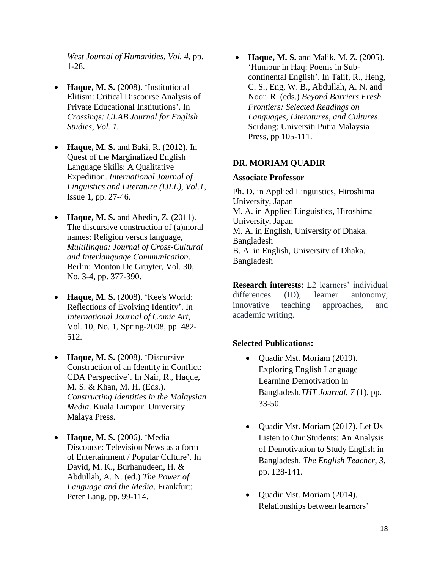*West Journal of Humanities, Vol. 4,* pp. 1-28.

- **Haque, M. S.** (2008). 'Institutional Elitism: Critical Discourse Analysis of Private Educational Institutions'. In *Crossings: ULAB Journal for English Studies, Vol. 1.*
- **Haque, M. S.** and Baki, R. (2012). In Quest of the Marginalized English Language Skills: A Qualitative Expedition. *International Journal of Linguistics and Literature (IJLL), Vol.1*, Issue 1, pp. 27-46.
- **Haque, M. S.** and Abedin, Z. (2011). The discursive construction of (a)moral names: Religion versus language, *Multilingua: Journal of Cross-Cultural and Interlanguage Communication*. Berlin: Mouton De Gruyter, Vol. 30, No. 3-4, pp. 377-390.
- **Haque, M. S.** (2008). 'Kee's World: Reflections of Evolving Identity'. In *International Journal of Comic Art*, Vol. 10, No. 1, Spring-2008, pp. 482- 512.
- Haque, M. S. (2008). 'Discursive Construction of an Identity in Conflict: CDA Perspective'. In Nair, R., Haque, M. S. & Khan, M. H. (Eds.). *Constructing Identities in the Malaysian Media*. Kuala Lumpur: University Malaya Press.
- **Haque, M. S.** (2006). 'Media Discourse: Television News as a form of Entertainment / Popular Culture'. In David, M. K., Burhanudeen, H. & Abdullah, A. N. (ed.) *The Power of Language and the Media*. Frankfurt: Peter Lang. pp. 99-114.

• **Haque, M. S.** and Malik, M. Z. (2005). 'Humour in Haq: Poems in Subcontinental English'. In Talif, R., Heng, C. S., Eng, W. B., Abdullah, A. N. and Noor. R. (eds.) *Beyond Barriers Fresh Frontiers: Selected Readings on Languages, Literatures, and Cultures*. Serdang: Universiti Putra Malaysia Press, pp 105-111.

### **DR. MORIAM QUADIR**

#### **Associate Professor**

Ph. D. in Applied Linguistics, Hiroshima University, Japan M. A. in Applied Linguistics, Hiroshima University, Japan M. A. in English, University of Dhaka. Bangladesh B. A. in English, University of Dhaka. Bangladesh

**Research interests**: L2 learners' individual differences (ID), learner autonomy, innovative teaching approaches, and academic writing.

## **Selected Publications:**

- Quadir Mst. Moriam (2019). Exploring English Language Learning Demotivation in Bangladesh.*THT Journal, 7* (1)*,* pp. 33-50.
- Quadir Mst. Moriam (2017). Let Us Listen to Our Students: An Analysis of Demotivation to Study English in Bangladesh. *The English Teacher, 3,*  pp. 128-141.
- Quadir Mst. Moriam (2014). Relationships between learners'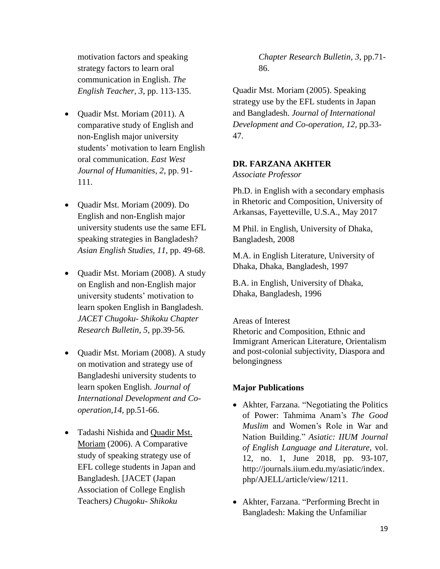motivation factors and speaking strategy factors to learn oral communication in English. *The English Teacher, 3,* pp. 113-135.

- Quadir Mst. Moriam (2011). A comparative study of English and non-English major university students' motivation to learn English oral communication. *East West Journal of Humanities, 2,* pp. 91- 111.
- Quadir Mst. Moriam (2009). Do English and non-English major university students use the same EFL speaking strategies in Bangladesh? *Asian English Studies, 11*, pp. 49-68.
- Quadir Mst. Moriam (2008). A study on English and non-English major university students' motivation to learn spoken English in Bangladesh. *JACET Chugoku- Shikoku Chapter Research Bulletin, 5,* pp.39-56*.*
- Quadir Mst. Moriam (2008). A study on motivation and strategy use of Bangladeshi university students to learn spoken English. *Journal of International Development and Cooperation,14,* pp.51-66.
- Tadashi Nishida and Quadir Mst. Moriam (2006). A Comparative study of speaking strategy use of EFL college students in Japan and Bangladesh. [JACET (Japan Association of College English Teachers*) Chugoku- Shikoku*

*Chapter Research Bulletin, 3*, pp.71- 86.

Quadir Mst. Moriam (2005). Speaking strategy use by the EFL students in Japan and Bangladesh. *Journal of International Development and Co-operation, 12,* pp.33- 47.

### **DR. FARZANA AKHTER**

*Associate Professor*

Ph.D. in English with a secondary emphasis in Rhetoric and Composition, University of Arkansas, Fayetteville, U.S.A., May 2017

M Phil. in English, University of Dhaka, Bangladesh, 2008

M.A. in English Literature, University of Dhaka, Dhaka, Bangladesh, 1997

B.A. in English, University of Dhaka, Dhaka, Bangladesh, 1996

#### Areas of Interest

Rhetoric and Composition, Ethnic and Immigrant American Literature, Orientalism and post-colonial subjectivity, Diaspora and belongingness

#### **Major Publications**

- Akhter, Farzana. "Negotiating the Politics of Power: Tahmima Anam's *The Good Muslim* and Women's Role in War and Nation Building." *Asiatic: IIUM Journal of English Language and Literature,* vol. 12, no. 1, June 2018, pp. 93-107, http://journals.iium.edu.my/asiatic/index. php/AJELL/article/view/1211.
- Akhter, Farzana. "Performing Brecht in Bangladesh: Making the Unfamiliar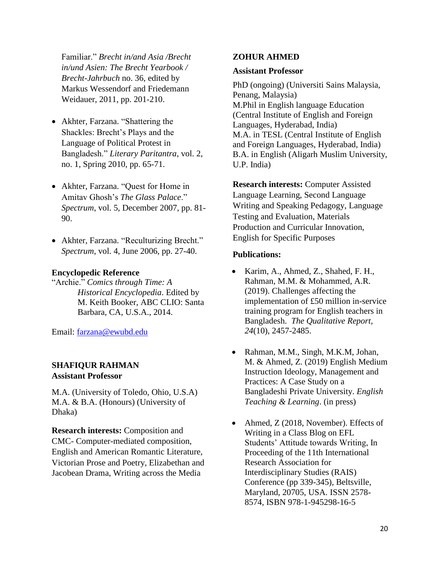Familiar." *Brecht in/and Asia /Brecht in/und Asien: [The Brecht Yearbook /](http://uwpress.wisc.edu/books/5069.htm)  [Brecht-Jahrbuch](http://uwpress.wisc.edu/books/5069.htm)* no. 36, edited by Markus Wessendorf and Friedemann Weidauer, [2011,](http://uwpress.wisc.edu/books/5069.htm) pp. 201-210.

- Akhter, Farzana. "Shattering the Shackles: Brecht's Plays and the Language of Political Protest in Bangladesh." *Literary Paritantra*, vol. 2, no. 1, Spring 2010, pp. 65-71.
- Akhter, Farzana. "Quest for Home in Amitav Ghosh's *The Glass Palace*." *Spectrum*, vol. 5, December 2007, pp. 81- 90.
- Akhter, Farzana. "Reculturizing Brecht." *Spectrum*, vol. 4, June 2006, pp. 27-40.

### **Encyclopedic Reference**

"Archie." *Comics through Time: A Historical Encyclopedia*. Edited by M. Keith Booker, ABC CLIO: Santa Barbara, CA, U.S.A., 2014.

Email: [farzana@ewubd.edu](mailto:farzana@ewubd.edu)

## **SHAFIQUR RAHMAN**

### **Assistant Professor**

M.A. (University of Toledo, Ohio, U.S.A) M.A. & B.A. (Honours) (University of Dhaka)

**Research interests:** Composition and CMC- Computer-mediated composition, English and American Romantic Literature, Victorian Prose and Poetry, Elizabethan and Jacobean Drama, Writing across the Media

## **ZOHUR AHMED**

#### **Assistant Professor**

PhD (ongoing) (Universiti Sains Malaysia, Penang, Malaysia) M.Phil in English language Education (Central Institute of English and Foreign Languages, Hyderabad, India) M.A. in TESL (Central Institute of English and Foreign Languages, Hyderabad, India) B.A. in English (Aligarh Muslim University, U.P. India)

**Research interests:** Computer Assisted Language Learning, Second Language Writing and Speaking Pedagogy, Language Testing and Evaluation, Materials Production and Curricular Innovation, English for Specific Purposes

### **Publications:**

- Karim, A., Ahmed, Z., Shahed, F. H., Rahman, M.M. & Mohammed, A.R. (2019). Challenges affecting the implementation of £50 million in-service training program for English teachers in Bangladesh. *The Qualitative Report, 24*(10), 2457-2485.
- Rahman, M.M., Singh, M.K.M, Johan, M. & Ahmed, Z. (2019) English Medium Instruction Ideology, Management and Practices: A Case Study on a Bangladeshi Private University. *English Teaching & Learning*. (in press)
- Ahmed, Z (2018, November). Effects of Writing in a Class Blog on EFL Students' Attitude towards Writing, In Proceeding of the 11th International Research Association for Interdisciplinary Studies (RAIS) Conference (pp 339-345), Beltsville, Maryland, 20705, USA. ISSN 2578- 8574, ISBN 978-1-945298-16-5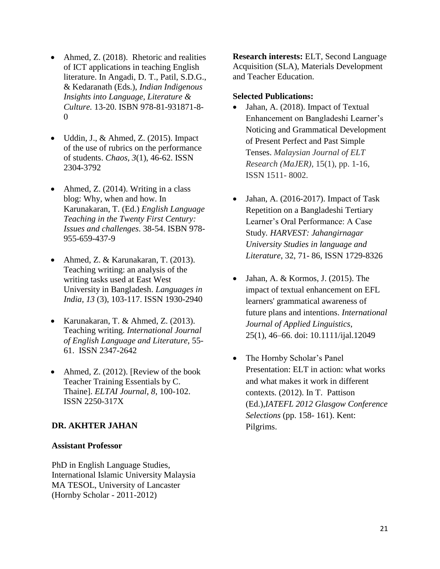- Ahmed, Z. (2018). Rhetoric and realities of ICT applications in teaching English literature. In Angadi, D. T., Patil, S.D.G., & Kedaranath (Eds.), *Indian Indigenous Insights into Language, Literature & Culture.* 13-20. ISBN 978-81-931871-8-  $\Omega$
- $\bullet$  Uddin, J., & Ahmed, Z. (2015). Impact of the use of rubrics on the performance of students. *Chaos, 3*(1), 46-62. ISSN 2304-3792
- Ahmed, Z.  $(2014)$ . Writing in a class blog: Why, when and how. In Karunakaran, T. (Ed.) *English Language Teaching in the Twenty First Century: Issues and challenges*. 38-54. ISBN 978- 955-659-437-9
- Ahmed, Z. & Karunakaran, T. (2013). Teaching writing: an analysis of the writing tasks used at East West University in Bangladesh. *Languages in India, 13* (3), 103-117. ISSN 1930-2940
- Karunakaran, T. & Ahmed, Z. (2013). Teaching writing. *International Journal of English Language and Literature,* 55- 61. ISSN 2347-2642
- Ahmed, Z. (2012). [Review of the book] Teacher Training Essentials by C. Thaine]. *ELTAI Journal, 8*, 100-102. ISSN 2250-317X

#### **DR. AKHTER JAHAN**

#### **Assistant Professor**

PhD in English Language Studies, International Islamic University Malaysia MA TESOL, University of Lancaster (Hornby Scholar - 2011-2012)

**Research interests:** ELT, Second Language Acquisition (SLA), Materials Development and Teacher Education.

#### **Selected Publications:**

- Jahan, A. (2018). Impact of Textual Enhancement on Bangladeshi Learner's Noticing and Grammatical Development of Present Perfect and Past Simple Tenses. *Malaysian Journal of ELT Research (MaJER)*, 15(1), pp. 1-16, ISSN 1511- 8002.
- $\bullet$  Jahan, A. (2016-2017). Impact of Task Repetition on a Bangladeshi Tertiary Learner's Oral Performance: A Case Study*. HARVEST: Jahangirnagar University Studies in language and Literature*, 32, 71- 86, ISSN 1729-8326
- $\bullet$  Jahan, A. & Kormos, J. (2015). The impact of textual enhancement on EFL learners' grammatical awareness of future plans and intentions. *International Journal of Applied Linguistics*, 25(1), 46–66. doi: 10.1111/ijal.12049
- The Hornby Scholar's Panel Presentation: ELT in action: what works and what makes it work in different contexts*.* (2012). In T. Pattison (Ed.),*IATEFL 2012 Glasgow Conference Selections* (pp. 158- 161). Kent: Pilgrims.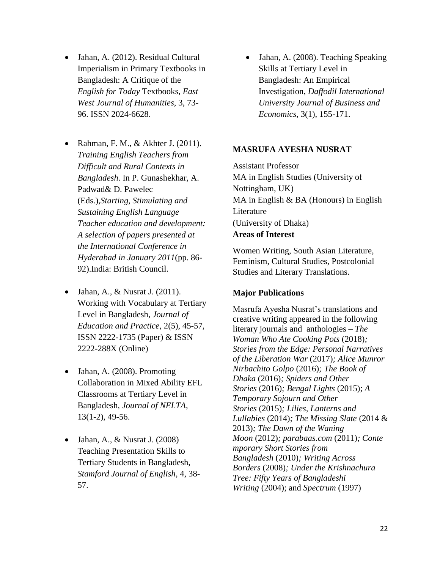- Jahan, A. (2012). Residual Cultural Imperialism in Primary Textbooks in Bangladesh: A Critique of the *English for Today* Textbooks, *East West Journal of Humanities*, 3, 73- 96. ISSN 2024-6628.
- Rahman, F. M.,  $& Akhter J. (2011).$ *Training English Teachers from Difficult and Rural Contexts in Bangladesh*. In P. Gunashekhar, A. Padwad& D. Pawelec (Eds.),*Starting, Stimulating and Sustaining English Language Teacher education and development: A selection of papers presented at the International Conference in Hyderabad in January 2011*(pp. 86- 92).India: British Council.
- Jahan, A.,  $\&$  Nusrat J. (2011). Working with Vocabulary at Tertiary Level in Bangladesh, *Journal of Education and Practice*, 2(5), 45-57, ISSN 2222-1735 (Paper) & ISSN 2222-288X (Online)
- Jahan, A. (2008). Promoting Collaboration in Mixed Ability EFL Classrooms at Tertiary Level in Bangladesh, *Journal of NELTA*, 13(1-2), 49-56.
- $\bullet$  Jahan, A., & Nusrat J. (2008) Teaching Presentation Skills to Tertiary Students in Bangladesh, *Stamford Journal of English*, 4, 38- 57.

• Jahan, A. (2008). Teaching Speaking Skills at Tertiary Level in Bangladesh: An Empirical Investigation, *Daffodil International University Journal of Business and Economics*, 3(1), 155-171.

### **MASRUFA AYESHA NUSRAT**

Assistant Professor MA in English Studies (University of Nottingham, UK) MA in English & BA (Honours) in English Literature (University of Dhaka) **Areas of Interest**

Women Writing, South Asian Literature, Feminism, Cultural Studies, Postcolonial Studies and Literary Translations.

#### **Major Publications**

Masrufa Ayesha Nusrat's translations and creative writing appeared in the following literary journals and anthologies – *The Woman Who Ate Cooking Pots* (2018)*; Stories from the Edge: Personal Narratives of the Liberation War* (2017)*; Alice Munror Nirbachito Golpo* (2016)*; The Book of Dhaka* (2016)*; Spiders and Other Stories* (2016)*; Bengal Lights* (2015); *A Temporary Sojourn and Other Stories* (2015)*; Lilies, Lanterns and Lullabies* (2014)*; The Missing Slate* (2014 & 2013)*; The Dawn of the Waning Moon* (2012)*; [parabaas.com](http://parabaas.com/)* (2011)*; Conte mporary Short Stories from Bangladesh* (2010)*; Writing Across Borders* (2008)*; Under the Krishnachura Tree: Fifty Years of Bangladeshi Writing* (2004); and *Spectrum* (1997)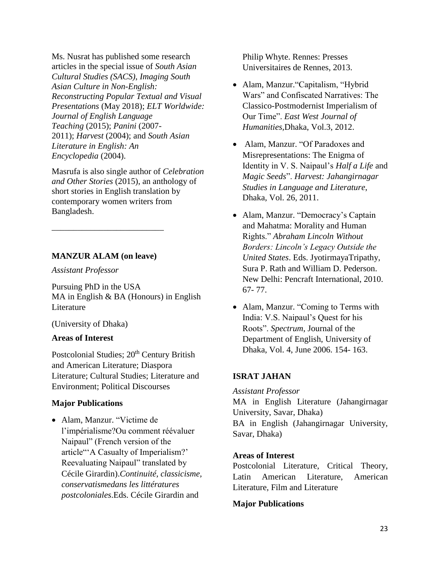Ms. Nusrat has published some research articles in the special issue of *South Asian Cultural Studies (SACS)*, *Imaging South Asian Culture in Non-English: Reconstructing Popular Textual and Visual Presentations* (May 2018); *ELT Worldwide: Journal of English Language Teaching* (2015); *Panini* (2007- 2011); *Harvest* (2004); and *South Asian Literature in English: An Encyclopedia* (2004).

Masrufa is also single author of *Celebration and Other Stories* (2015), an anthology of short stories in English translation by contemporary women writers from Bangladesh.

### **MANZUR ALAM (on leave)**

\_\_\_\_\_\_\_\_\_\_\_\_\_\_\_\_\_\_\_\_\_\_\_\_\_\_

*Assistant Professor*

Pursuing PhD in the USA MA in English & BA (Honours) in English Literature

(University of Dhaka)

#### **Areas of Interest**

Postcolonial Studies; 20<sup>th</sup> Century British and American Literature; Diaspora Literature; Cultural Studies; Literature and Environment; Political Discourses

#### **Major Publications**

 Alam, Manzur. "Victime de l'impérialisme?Ou comment réévaluer Naipaul" (French version of the article"'A Casualty of Imperialism?' Reevaluating Naipaul" translated by Cécile Girardin).*Continuité, classicisme, conservatismedans les littératures postcoloniales*.Eds. Cécile Girardin and

Philip Whyte. Rennes: Presses Universitaires de Rennes, 2013.

- Alam, Manzur."Capitalism, "Hybrid Wars" and Confiscated Narratives: The Classico-Postmodernist Imperialism of Our Time". *East West Journal of Humanities,*Dhaka, Vol.3, 2012.
- Alam, Manzur. "Of Paradoxes and Misrepresentations: The Enigma of Identity in V. S. Naipaul's *Half a Life* and *Magic Seeds*". *Harvest: Jahangirnagar Studies in Language and Literature*, Dhaka, Vol. 26, 2011.
- Alam, Manzur. "Democracy's Captain and Mahatma: Morality and Human Rights." *Abraham Lincoln Without Borders: Lincoln's Legacy Outside the United States*. Eds. JyotirmayaTripathy, Sura P. Rath and William D. Pederson. New Delhi: Pencraft International, 2010. 67- 77.
- Alam, Manzur. "Coming to Terms with India: V.S. Naipaul's Quest for his Roots". *Spectrum*, Journal of the Department of English, University of Dhaka, Vol. 4, June 2006. 154- 163.

#### **ISRAT JAHAN**

*Assistant Professor* MA in English Literature (Jahangirnagar University, Savar, Dhaka) BA in English (Jahangirnagar University, Savar, Dhaka)

# **Areas of Interest**

Postcolonial Literature, Critical Theory, Latin American Literature, American Literature, Film and Literature

#### **Major Publications**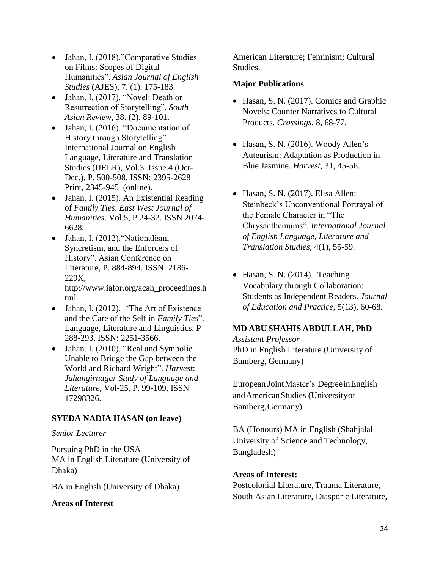- Jahan, I. (2018)."Comparative Studies on Films: Scopes of Digital Humanities". *Asian Journal of English Studies* (AJES), 7. (1). 175-183.
- Jahan, I. (2017). "Novel: Death or Resurrection of Storytelling". *South Asian Review*, 38. (2). 89-101.
- Jahan, I. (2016). "Documentation of History through Storytelling". International Journal on English Language, Literature and Translation Studies (IJELR), Vol.3. Issue.4 (Oct-Dec.), P. 500-508. ISSN: 2395-2628 Print, 2345-9451(online).
- Jahan, I. (2015). An Existential Reading of *Family Ties*. *East West Journal of Humanities*. Vol.5, P 24-32. ISSN 2074- 6628.
- Jahan, I. (2012). "Nationalism, Syncretism, and the Enforcers of History". Asian Conference on Literature, P. 884-894. ISSN: 2186- 229X, http://www.iafor.org/acah\_proceedings.h tml.
- Jahan, I. (2012). "The Art of Existence and the Care of the Self in *Family Ties*". Language, Literature and Linguistics, P 288-293. ISSN: 2251-3566.
- Jahan, I. (2010). "Real and Symbolic Unable to Bridge the Gap between the World and Richard Wright". *Harvest*: *Jahangirnagar Study of Language and Literature,* Vol-25, P. 99-109, ISSN 17298326.

## **SYEDA NADIA HASAN (on leave)**

#### *Senior Lecturer*

Pursuing PhD in the USA MA in English Literature (University of Dhaka)

BA in English (University of Dhaka)

## **Areas of Interest**

American Literature; Feminism; Cultural Studies.

## **Major Publications**

- Hasan, S. N. (2017). Comics and Graphic Novels: Counter Narratives to Cultural Products. *Crossings*, 8, 68-77.
- Hasan, S. N. (2016). Woody Allen's Auteurism: Adaptation as Production in Blue Jasmine. *Harvest*, 31, 45-56.
- Hasan, S. N. (2017). Elisa Allen: Steinbeck's Unconventional Portrayal of the Female Character in "The Chrysanthemums". *International Journal of English Language, Literature and Translation Studies*, 4(1), 55-59.
- Hasan, S. N. (2014). Teaching Vocabulary through Collaboration: Students as Independent Readers. *Journal of Education and Practice*, 5(13), 60-68.

## **MD ABU SHAHIS ABDULLAH, PhD**

*Assistant Professor* PhD in English Literature (University of Bamberg, Germany)

European JointMaster's DegreeinEnglish andAmericanStudies (Universityof Bamberg,Germany)

BA (Honours) MA in English (Shahjalal University of Science and Technology, Bangladesh)

## **Areas of Interest:**

Postcolonial Literature, Trauma Literature, South Asian Literature, Diasporic Literature,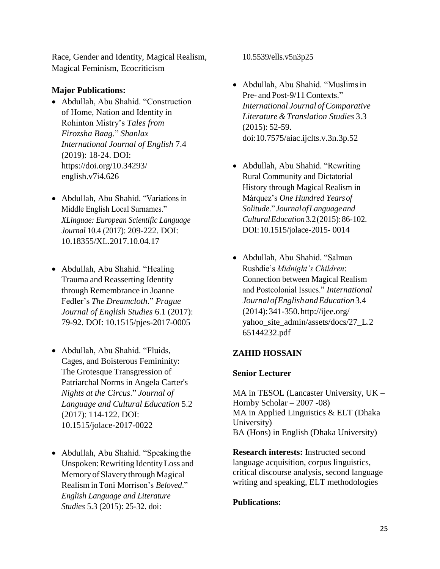Race, Gender and Identity, Magical Realism, Magical Feminism, Ecocriticism

#### **Major Publications:**

- Abdullah, Abu Shahid. "Construction of Home, Nation and Identity in Rohinton Mistry's *Tales from Firozsha Baag*." *Shanlax International Journal of English* 7.4 (2019): 18-24. DOI: https://doi.org/10.34293/ english.v7i4.626
- Abdullah, Abu Shahid. "Variations in Middle English Local Surnames." *XLinguae: European Scientific Language Journal* 10.4 (2017): 209-222. DOI: 10.18355/XL.2017.10.04.17
- Abdullah, Abu Shahid. "Healing Trauma and Reasserting Identity through Remembrance in Joanne Fedler's *The Dreamcloth*." *Prague Journal of English Studies* 6.1 (2017): 79-92. DOI: 10.1515/pjes-2017-0005
- Abdullah, Abu Shahid. "Fluids, Cages, and Boisterous Femininity: The Grotesque Transgression of Patriarchal Norms in Angela Carter's *Nights at the Circus*." *Journal of Language and Cultural Education* 5.2 (2017): 114-122. DOI: 10.1515/jolace-2017-0022
- Abdullah, Abu Shahid. "Speaking the Unspoken: Rewriting Identity Loss and Memory of Slavery through Magical RealisminToni Morrison's *Beloved*." *English Language and Literature Studies* 5.3 (2015): 25-32. doi:

10.5539/ells.v5n3p25

- Abdullah, Abu Shahid. "Muslimsin Pre- and Post-9/11 Contexts." *International Journal ofComparative Literature &Translation Studies* 3.3 (2015): 52-59. doi:10.7575/aiac.ijclts.v.3n.3p.52
- Abdullah, Abu Shahid. "Rewriting Rural Community and Dictatorial History through Magical Realism in Márquez's *One Hundred Yearsof Solitude*." *JournalofLanguageand CulturalEducation*3.2(2015):86-102. DOI:10.1515/jolace-2015- 0014
- Abdullah, Abu Shahid. "Salman Rushdie's *Midnight's Children*: Connection between Magical Realism and Postcolonial Issues." *International JournalofEnglishandEducation*3.4 (2014):341-350[.http://ijee.org/](http://ijee.org/) yahoo site\_admin/assets/docs/27\_L.2 65144232.pdf

#### **ZAHID HOSSAIN**

#### **Senior Lecturer**

MA in TESOL (Lancaster University, UK – Hornby Scholar  $-2007 -08$ ) MA in Applied Linguistics & ELT (Dhaka University) BA (Hons) in English (Dhaka University)

**Research interests:** Instructed second language acquisition, corpus linguistics, critical discourse analysis, second language writing and speaking, ELT methodologies

#### **Publications:**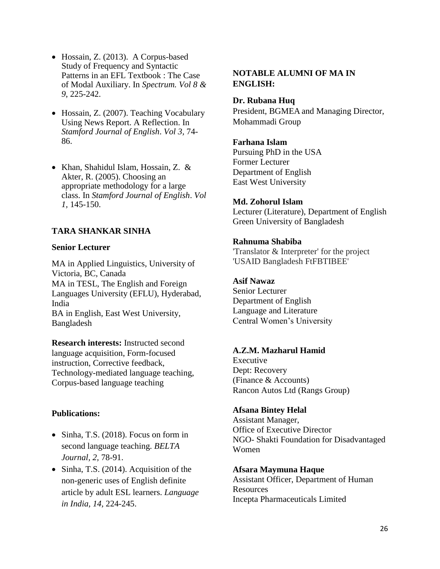- Hossain, Z. (2013). A Corpus-based Study of Frequency and Syntactic Patterns in an EFL Textbook : The Case of Modal Auxiliary. In *Spectrum. Vol 8 & 9*, 225-242.
- Hossain, Z. (2007). Teaching Vocabulary Using News Report. A Reflection. In *Stamford Journal of English*. *Vol 3,* 74- 86.
- Khan, Shahidul Islam, Hossain, Z. & Akter, R. (2005). Choosing an appropriate methodology for a large class. In *Stamford Journal of English*. *Vol 1,* 145-150.

### **TARA SHANKAR SINHA**

#### **Senior Lecturer**

MA in Applied Linguistics, University of Victoria, BC, Canada MA in TESL, The English and Foreign Languages University (EFLU), Hyderabad, India BA in English, East West University, Bangladesh

**Research interests:** Instructed second language acquisition, Form-focused instruction, Corrective feedback, Technology-mediated language teaching, Corpus-based language teaching

#### **Publications:**

- Sinha, T.S. (2018). Focus on form in second language teaching. *BELTA Journal, 2,* 78-91.
- Sinha, T.S. (2014). Acquisition of the non-generic uses of English definite article by adult ESL learners. *Language in India, 14,* 224-245.

## **NOTABLE ALUMNI OF MA IN ENGLISH:**

#### **Dr. Rubana Huq**

President, [BGMEA](https://en.wikipedia.org/wiki/BGMEA) and Managing Director, Mohammadi Group

#### **Farhana Islam**

Pursuing PhD in the USA Former Lecturer Department of English East West University

#### **Md. Zohorul Islam**

Lecturer (Literature), Department of English Green University of Bangladesh

#### **Rahnuma Shabiba**

'Translator & Interpreter' for the project 'USAID Bangladesh FtFBTIBEE'

#### **Asif Nawaz**

Senior Lecturer Department of English Language and Literature Central Women's University

#### **A.Z.M. Mazharul Hamid**

Executive Dept: Recovery (Finance & Accounts) Rancon Autos Ltd (Rangs Group)

#### **Afsana Bintey Helal**

Assistant Manager, Office of Executive Director NGO- Shakti Foundation for Disadvantaged Women

#### **Afsara Maymuna Haque**

Assistant Officer, Department of Human Resources Incepta Pharmaceuticals Limited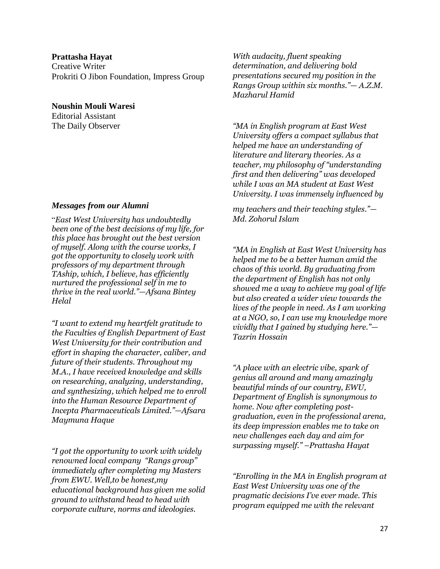**Prattasha Hayat**

Creative Writer Prokriti O Jibon Foundation, Impress Group

#### **Noushin Mouli Waresi**

Editorial Assistant The Daily Observer

#### *Messages from our Alumni*

"*East West University has undoubtedly been one of the best decisions of my life, for this place has brought out the best version of myself. Along with the course works, I got the opportunity to closely work with professors of my department through TAship, which, I believe, has efficiently nurtured the professional self in me to thrive in the real world."—Afsana Bintey Helal* 

*"I want to extend my heartfelt gratitude to the Faculties of English Department of East West University for their contribution and effort in shaping the character, caliber, and future of their students. Throughout my M.A., I have received knowledge and skills on researching, analyzing, understanding, and synthesizing, which helped me to enroll into the Human Resource Department of Incepta Pharmaceuticals Limited."—Afsara Maymuna Haque*

*"I got the opportunity to work with widely renowned local company "Rangs group" immediately after completing my Masters from EWU. Well,to be honest,my educational background has given me solid ground to withstand head to head with corporate culture, norms and ideologies.* 

*With audacity, fluent speaking determination, and delivering bold presentations secured my position in the Rangs Group within six months."— A.Z.M. Mazharul Hamid*

*"MA in English program at East West University offers a compact syllabus that helped me have an understanding of literature and literary theories. As a teacher, my philosophy of "understanding first and then delivering" was developed while I was an MA student at East West University. I was immensely influenced by* 

*my teachers and their teaching styles."— Md. Zohorul Islam*

*"MA in English at East West University has helped me to be a better human amid the chaos of this world. By graduating from the department of English has not only showed me a way to achieve my goal of life but also created a wider view towards the lives of the people in need. As I am working at a NGO, so, I can use my knowledge more vividly that I gained by studying here."— Tazrin Hossain*

*"A place with an electric vibe, spark of genius all around and many amazingly beautiful minds of our country, EWU, Department of English is synonymous to home. Now after completing postgraduation, even in the professional arena, its deep impression enables me to take on new challenges each day and aim for surpassing myself." –Prattasha Hayat*

*"Enrolling in the MA in English program at East West University was one of the pragmatic decisions I've ever made. This program equipped me with the relevant*